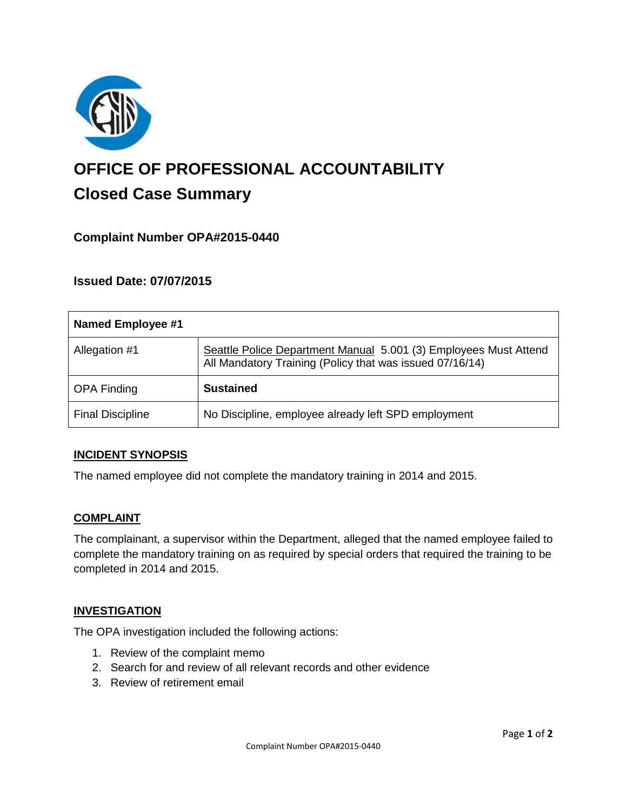

# **OFFICE OF PROFESSIONAL ACCOUNTABILITY Closed Case Summary**

# **Complaint Number OPA#2015-0440**

## **Issued Date: 07/07/2015**

| <b>Named Employee #1</b> |                                                                                                                              |
|--------------------------|------------------------------------------------------------------------------------------------------------------------------|
| Allegation #1            | Seattle Police Department Manual 5.001 (3) Employees Must Attend<br>All Mandatory Training (Policy that was issued 07/16/14) |
| <b>OPA Finding</b>       | <b>Sustained</b>                                                                                                             |
| <b>Final Discipline</b>  | No Discipline, employee already left SPD employment                                                                          |

#### **INCIDENT SYNOPSIS**

The named employee did not complete the mandatory training in 2014 and 2015.

#### **COMPLAINT**

The complainant, a supervisor within the Department, alleged that the named employee failed to complete the mandatory training on as required by special orders that required the training to be completed in 2014 and 2015.

#### **INVESTIGATION**

The OPA investigation included the following actions:

- 1. Review of the complaint memo
- 2. Search for and review of all relevant records and other evidence
- 3. Review of retirement email